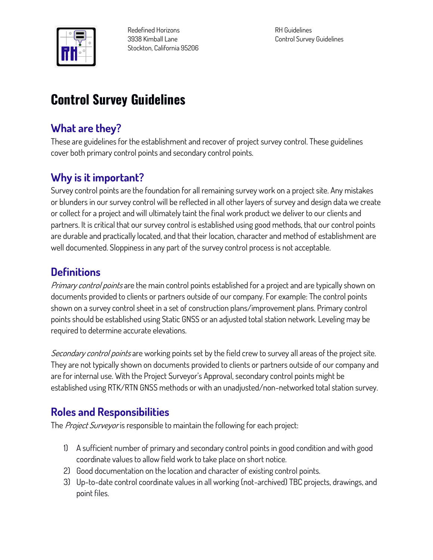

**Redefined Horizons 3938 Kimball Lane Stockton, California 95206** **RH Guidelines Control Survey Guidelines**

# **Control Survey Guidelines**

### **What are they?**

**These are guidelines for the establishment and recover of project survey control. These guidelines cover both primary control points and secondary control points.**

### **Why is it important?**

**Survey control points are the foundation for all remaining survey work on a project site. Any mistakes or blunders in our survey control will be reflected in all other layers of survey and design data we create or collect for a project and will ultimately taint the final work product we deliver to our clients and partners. It is critical that our survey control is established using good methods, that our control points are durable and practically located, and that their location, character and method of establishment are well documented. Sloppiness in any part of the survey control process is not acceptable.**

### **Definitions**

**Primary control points are the main control points established for a project and are typically shown on documents provided to clients or partners outside of our company. For example: The control points shown on a survey control sheet in a set of construction plans/improvement plans. Primary control points should be established using Static GNSS or an adjusted total station network. Leveling may be required to determine accurate elevations.**

**Secondary control points are working points set by the field crew to survey all areas of the project site. They are not typically shown on documents provided to clients or partners outside of our company and are for internal use. With the Project Surveyor's Approval, secondary control points might be established using RTK/RTN GNSS methods or with an unadjusted/non-networked total station survey.**

### **Roles and Responsibilities**

**The Project Surveyor is responsible to maintain the following for each project:**

- **1) A sufficient number of primary and secondary control points in good condition and with good coordinate values to allow field work to take place on short notice.**
- **2) Good documentation on the location and character of existing control points.**
- **3) Up-to-date control coordinate values in all working (not-archived) TBC projects, drawings, and point files.**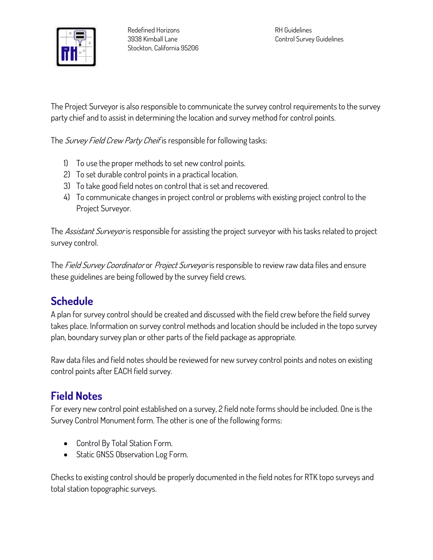

**The Project Surveyor is also responsible to communicate the survey control requirements to the survey party chief and to assist in determining the location and survey method for control points.**

**The Survey Field Crew Party Cheif is responsible for following tasks:**

- **1) To use the proper methods to set new control points.**
- **2) To set durable control points in a practical location.**
- **3) To take good field notes on control that is set and recovered.**
- **4) To communicate changes in project control or problems with existing project control to the Project Surveyor.**

**The Assistant Surveyor is responsible for assisting the project surveyor with his tasks related to project survey control.**

**The Field Survey Coordinator or Project Surveyor is responsible to review raw data files and ensure these guidelines are being followed by the survey field crews.**

## **Schedule**

**A plan for survey control should be created and discussed with the field crew before the field survey takes place. Information on survey control methods and location should be included in the topo survey plan, boundary survey plan or other parts of the field package as appropriate.**

**Raw data files and field notes should be reviewed for new survey control points and notes on existing control points after EACH field survey.**

## **Field Notes**

**For every new control point established on a survey, 2 field note forms should be included. One is the Survey Control Monument form. The other is one of the following forms:**

- **Control By Total Station Form.**
- **Static GNSS Observation Log Form.**

**Checks to existing control should be properly documented in the field notes for RTK topo surveys and total station topographic surveys.**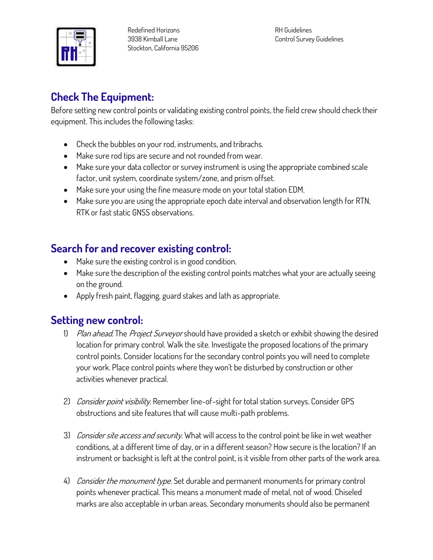

**RH Guidelines Control Survey Guidelines**

#### **Check The Equipment:**

**Before setting new control points or validating existing control points, the field crew should check their equipment. This includes the following tasks:**

- **Check the bubbles on your rod, instruments, and tribrachs.**
- **Make sure rod tips are secure and not rounded from wear.**
- **Make sure your data collector or survey instrument is using the appropriate combined scale factor, unit system, coordinate system/zone, and prism offset.**
- **Make sure your using the fine measure mode on your total station EDM.**
- **Make sure you are using the appropriate epoch date interval and observation length for RTN, RTK or fast static GNSS observations.**

### **Search for and recover existing control:**

- **Make sure the existing control is in good condition.**
- **Make sure the description of the existing control points matches what your are actually seeing on the ground.**
- **Apply fresh paint, flagging, guard stakes and lath as appropriate.**

#### **Setting new control:**

- **1) Plan ahead. The Project Surveyor should have provided a sketch or exhibit showing the desired location for primary control. Walk the site. Investigate the proposed locations of the primary control points. Consider locations for the secondary control points you will need to complete your work. Place control points where they won't be disturbed by construction or other activities whenever practical.**
- **2) Consider point visibility. Remember line-of-sight for total station surveys. Consider GPS obstructions and site features that will cause multi-path problems.**
- **3) Consider site access and security. What will access to the control point be like in wet weather conditions, at a different time of day, or in a different season? How secure is the location? If an instrument or backsight is left at the control point, is it visible from other parts of the work area.**
- **4) Consider the monument type. Set durable and permanent monuments for primary control points whenever practical. This means a monument made of metal, not of wood. Chiseled marks are also acceptable in urban areas. Secondary monuments should also be permanent**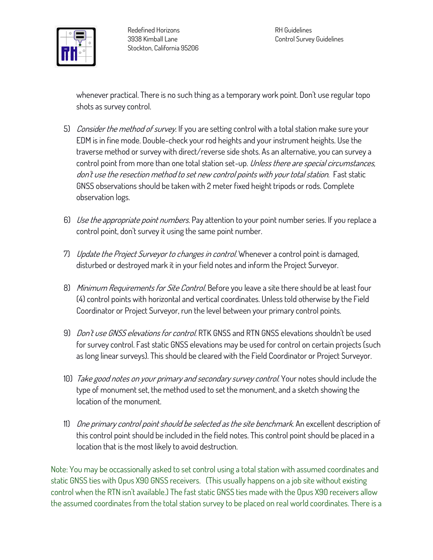

**whenever practical. There is no such thing as a temporary work point. Don't use regular topo shots as survey control.**

- **5) Consider the method of survey. If you are setting control with a total station make sure your EDM is in fine mode. Double-check your rod heights and your instrument heights. Use the traverse method or survey with direct/reverse side shots. As an alternative, you can survey a control point from more than one total station set-up. Unless there are special circumstances, don't use the resection method to set new control points with your total station. Fast static GNSS observations should be taken with 2 meter fixed height tripods or rods. Complete observation logs.**
- **6) Use the appropriate point numbers. Pay attention to your point number series. If you replace a control point, don't survey it using the same point number.**
- **7) Update the Project Surveyor to changes in control. Whenever a control point is damaged, disturbed or destroyed mark it in your field notes and inform the Project Surveyor.**
- **8) Minimum Requirements for Site Control. Before you leave a site there should be at least four (4) control points with horizontal and vertical coordinates. Unless told otherwise by the Field Coordinator or Project Surveyor, run the level between your primary control points.**
- **9) Don't use GNSS elevations for control. RTK GNSS and RTN GNSS elevations shouldn't be used for survey control. Fast static GNSS elevations may be used for control on certain projects (such as long linear surveys). This should be cleared with the Field Coordinator or Project Surveyor.**
- **10) Take good notes on your primary and secondary survey control. Your notes should include the type of monument set, the method used to set the monument, and a sketch showing the location of the monument.**
- **11) One primary control point should be selected as the site benchmark. An excellent description of this control point should be included in the field notes. This control point should be placed in a location that is the most likely to avoid destruction.**

**Note: You may be occassionally asked to set control using a total station with assumed coordinates and static GNSS ties with Opus X90 GNSS receivers. (This usually happens on a job site without existing control when the RTN isn't available.) The fast static GNSS ties made with the Opus X90 receivers allow the assumed coordinates from the total station survey to be placed on real world coordinates. There is a**